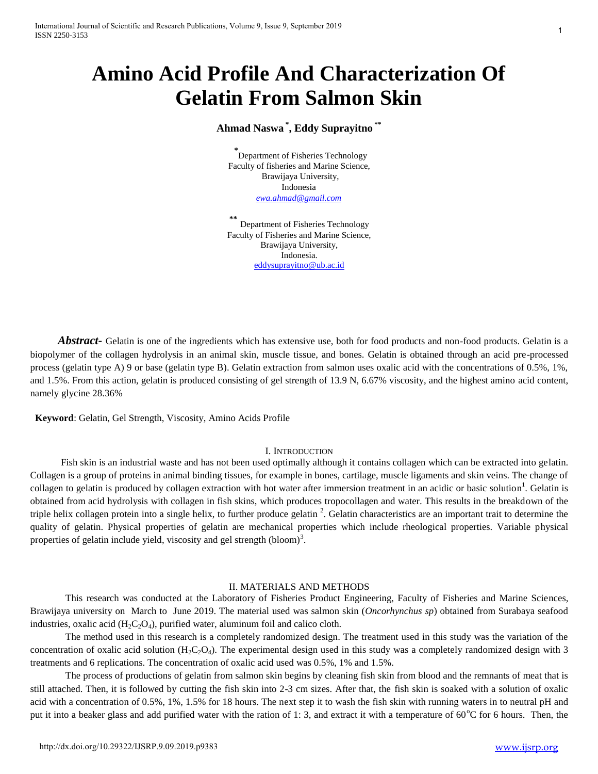# **Amino Acid Profile And Characterization Of Gelatin From Salmon Skin**

# **Ahmad Naswa \* , Eddy Suprayitno \*\***

**\*** Department of Fisheries Technology Faculty of fisheries and Marine Science, Brawijaya University, Indonesia *[ewa.ahmad@gmail.com](mailto:ewa.ahmad@gmail.com)*

**\*\*** Department of Fisheries Technology Faculty of Fisheries and Marine Science, Brawijaya University, Indonesia. [eddysuprayitno@ub.ac.id](mailto:eddysuprayitno@ub.ac.id)

'2,,-653S [KWWSG\[GRLRUJ,-653S](http://dx.doi.org/10.29322/IJSRP.X.X.2018.pXXXX)

*Abstract* • Gelatin is one of the ingredients which has extensive use, both for food products and non-food products. Gelatin is a biopolymer of the collagen hydrolysis in an animal skin, muscle tissue, and bones. Gelatin is obtained through an acid pre-processed process (gelatin type A) 9 or base (gelatin type B). Gelatin extraction from salmon uses oxalic acid with the concentrations of 0.5%, 1%, and 1.5%. From this action, gelatin is produced consisting of gel strength of 13.9 N, 6.67% viscosity, and the highest amino acid content, namely glycine 28.36%

**Keyword**: Gelatin, Gel Strength, Viscosity, Amino Acids Profile

## I. INTRODUCTION

Fish skin is an industrial waste and has not been used optimally although it contains collagen which can be extracted into gelatin. Collagen is a group of proteins in animal binding tissues, for example in bones, cartilage, muscle ligaments and skin veins. The change of collagen to gelatin is produced by collagen extraction with hot water after immersion treatment in an acidic or basic solution<sup>1</sup>. Gelatin is obtained from acid hydrolysis with collagen in fish skins, which produces tropocollagen and water. This results in the breakdown of the triple helix collagen protein into a single helix, to further produce gelatin  $^2$ . Gelatin characteristics are an important trait to determine the quality of gelatin. Physical properties of gelatin are mechanical properties which include rheological properties. Variable physical properties of gelatin include yield, viscosity and gel strength (bloom)<sup>3</sup>.

# II. MATERIALS AND METHODS

This research was conducted at the Laboratory of Fisheries Product Engineering, Faculty of Fisheries and Marine Sciences, Brawijaya university on March to June 2019. The material used was salmon skin (*Oncorhynchus sp*) obtained from Surabaya seafood industries, oxalic acid  $(H_2C_2O_4)$ , purified water, aluminum foil and calico cloth.

The method used in this research is a completely randomized design. The treatment used in this study was the variation of the concentration of oxalic acid solution  $(H_2C_2O_4)$ . The experimental design used in this study was a completely randomized design with 3 treatments and 6 replications. The concentration of oxalic acid used was 0.5%, 1% and 1.5%.

The process of productions of gelatin from salmon skin begins by cleaning fish skin from blood and the remnants of meat that is still attached. Then, it is followed by cutting the fish skin into 2-3 cm sizes. After that, the fish skin is soaked with a solution of oxalic acid with a concentration of 0.5%, 1%, 1.5% for 18 hours. The next step it to wash the fish skin with running waters in to neutral pH and put it into a beaker glass and add purified water with the ration of 1: 3, and extract it with a temperature of  $60^{\circ}$ C for 6 hours. Then, the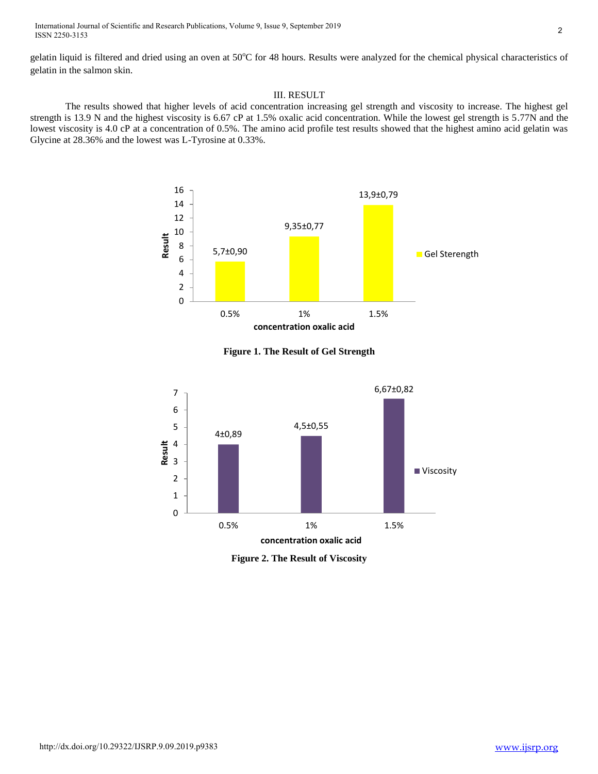International Journal of Scientific and Research Publications, Volume 9, Issue 9, September 2019 ISSN 2250-3153

gelatin liquid is filtered and dried using an oven at 50°C for 48 hours. Results were analyzed for the chemical physical characteristics of gelatin in the salmon skin.

#### III. RESULT

The results showed that higher levels of acid concentration increasing gel strength and viscosity to increase. The highest gel strength is 13.9 N and the highest viscosity is 6.67 cP at 1.5% oxalic acid concentration. While the lowest gel strength is 5.77N and the lowest viscosity is 4.0 cP at a concentration of 0.5%. The amino acid profile test results showed that the highest amino acid gelatin was Glycine at 28.36% and the lowest was L-Tyrosine at 0.33%.



**Figure 1. The Result of Gel Strength**



**Figure 2. The Result of Viscosity**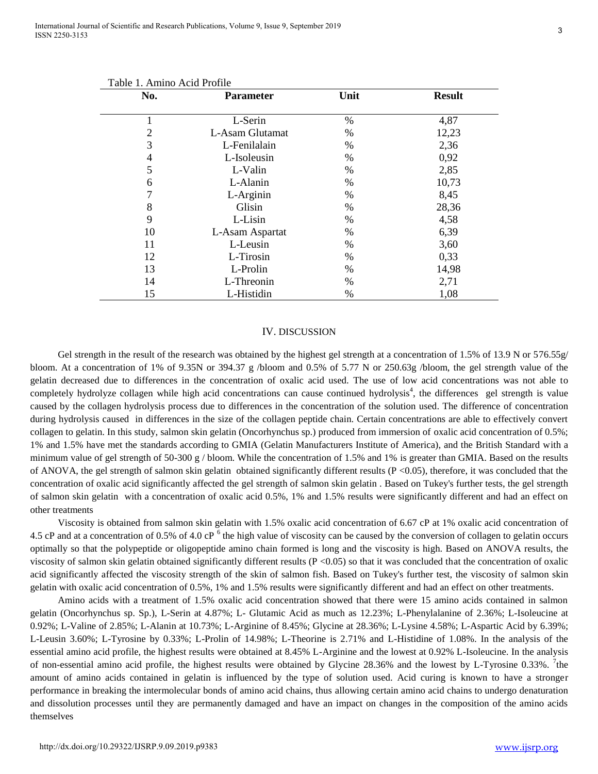| Table 1. Allillio Acid Florile<br>No. | <b>Parameter</b> | Unit | <b>Result</b> |
|---------------------------------------|------------------|------|---------------|
|                                       |                  |      |               |
| ı                                     | L-Serin          | $\%$ | 4,87          |
| 2                                     | L-Asam Glutamat  | $\%$ | 12,23         |
| 3                                     | L-Fenilalain     | %    | 2,36          |
| 4                                     | L-Isoleusin      | %    | 0,92          |
| 5                                     | L-Valin          | $\%$ | 2,85          |
| 6                                     | L-Alanin         | $\%$ | 10,73         |
| 7                                     | L-Arginin        | %    | 8,45          |
| 8                                     | Glisin           | %    | 28,36         |
| 9                                     | L-Lisin          | $\%$ | 4,58          |
| 10                                    | L-Asam Aspartat  | $\%$ | 6,39          |
| 11                                    | L-Leusin         | %    | 3,60          |
| 12                                    | L-Tirosin        | $\%$ | 0,33          |
| 13                                    | L-Prolin         | $\%$ | 14,98         |
| 14                                    | L-Threonin       | $\%$ | 2,71          |
| 15                                    | L-Histidin       | %    | 1,08          |

### Table 1. Amino Acid Profile

#### IV. DISCUSSION

Gel strength in the result of the research was obtained by the highest gel strength at a concentration of 1.5% of 13.9 N or 576.55g/ bloom. At a concentration of 1% of 9.35N or 394.37 g /bloom and 0.5% of 5.77 N or 250.63g /bloom, the gel strength value of the gelatin decreased due to differences in the concentration of oxalic acid used. The use of low acid concentrations was not able to completely hydrolyze collagen while high acid concentrations can cause continued hydrolysis<sup>4</sup>, the differences gel strength is value caused by the collagen hydrolysis process due to differences in the concentration of the solution used. The difference of concentration during hydrolysis caused in differences in the size of the collagen peptide chain. Certain concentrations are able to effectively convert collagen to gelatin. In this study, salmon skin gelatin (Oncorhynchus sp.) produced from immersion of oxalic acid concentration of 0.5%; 1% and 1.5% have met the standards according to GMIA (Gelatin Manufacturers Institute of America), and the British Standard with a minimum value of gel strength of 50-300 g / bloom. While the concentration of 1.5% and 1% is greater than GMIA. Based on the results of ANOVA, the gel strength of salmon skin gelatin obtained significantly different results ( $P \le 0.05$ ), therefore, it was concluded that the concentration of oxalic acid significantly affected the gel strength of salmon skin gelatin . Based on Tukey's further tests, the gel strength of salmon skin gelatin with a concentration of oxalic acid 0.5%, 1% and 1.5% results were significantly different and had an effect on other treatments

Viscosity is obtained from salmon skin gelatin with 1.5% oxalic acid concentration of 6.67 cP at 1% oxalic acid concentration of 4.5 cP and at a concentration of 0.5% of 4.0 cP  $<sup>6</sup>$  the high value of viscosity can be caused by the conversion of collagen to gelatin occurs</sup> optimally so that the polypeptide or oligopeptide amino chain formed is long and the viscosity is high. Based on ANOVA results, the viscosity of salmon skin gelatin obtained significantly different results (P <0.05) so that it was concluded that the concentration of oxalic acid significantly affected the viscosity strength of the skin of salmon fish. Based on Tukey's further test, the viscosity of salmon skin gelatin with oxalic acid concentration of 0.5%, 1% and 1.5% results were significantly different and had an effect on other treatments.

Amino acids with a treatment of 1.5% oxalic acid concentration showed that there were 15 amino acids contained in salmon gelatin (Oncorhynchus sp. Sp.), L-Serin at 4.87%; L- Glutamic Acid as much as 12.23%; L-Phenylalanine of 2.36%; L-Isoleucine at 0.92%; L-Valine of 2.85%; L-Alanin at 10.73%; L-Arginine of 8.45%; Glycine at 28.36%; L-Lysine 4.58%; L-Aspartic Acid by 6.39%; L-Leusin 3.60%; L-Tyrosine by 0.33%; L-Prolin of 14.98%; L-Theorine is 2.71% and L-Histidine of 1.08%. In the analysis of the essential amino acid profile, the highest results were obtained at 8.45% L-Arginine and the lowest at 0.92% L-Isoleucine. In the analysis of non-essential amino acid profile, the highest results were obtained by Glycine  $28.36\%$  and the lowest by L-Tyrosine 0.33%. <sup>7</sup>the amount of amino acids contained in gelatin is influenced by the type of solution used. Acid curing is known to have a stronger performance in breaking the intermolecular bonds of amino acid chains, thus allowing certain amino acid chains to undergo denaturation and dissolution processes until they are permanently damaged and have an impact on changes in the composition of the amino acids themselves